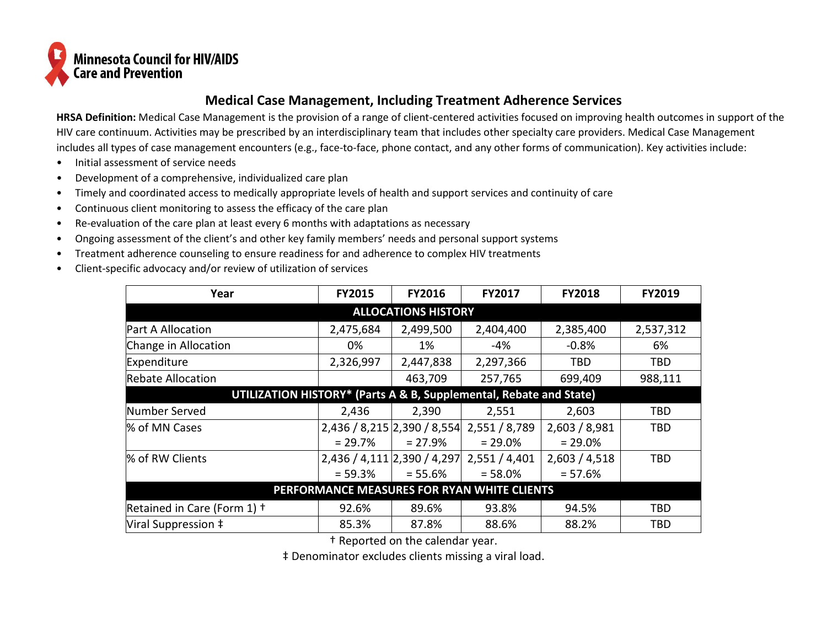

## **Medical Case Management, Including Treatment Adherence Services**

**HRSA Definition:** Medical Case Management is the provision of a range of client-centered activities focused on improving health outcomes in support of the HIV care continuum. Activities may be prescribed by an interdisciplinary team that includes other specialty care providers. Medical Case Management includes all types of case management encounters (e.g., face-to-face, phone contact, and any other forms of communication). Key activities include:

- Initial assessment of service needs
- Development of a comprehensive, individualized care plan
- Timely and coordinated access to medically appropriate levels of health and support services and continuity of care
- Continuous client monitoring to assess the efficacy of the care plan
- Re-evaluation of the care plan at least every 6 months with adaptations as necessary
- Ongoing assessment of the client's and other key family members' needs and personal support systems
- Treatment adherence counseling to ensure readiness for and adherence to complex HIV treatments
- Client-specific advocacy and/or review of utilization of services

| Year                                                               | <b>FY2015</b>               | <b>FY2016</b> | <b>FY2017</b> | <b>FY2018</b> | <b>FY2019</b> |
|--------------------------------------------------------------------|-----------------------------|---------------|---------------|---------------|---------------|
| <b>ALLOCATIONS HISTORY</b>                                         |                             |               |               |               |               |
| <b>Part A Allocation</b>                                           | 2,475,684                   | 2,499,500     | 2,404,400     | 2,385,400     | 2,537,312     |
| Change in Allocation                                               | 0%                          | 1%            | -4%           | $-0.8%$       | 6%            |
| Expenditure                                                        | 2,326,997                   | 2,447,838     | 2,297,366     | TBD           | TBD           |
| <b>Rebate Allocation</b>                                           |                             | 463,709       | 257,765       | 699,409       | 988,111       |
| UTILIZATION HISTORY* (Parts A & B, Supplemental, Rebate and State) |                             |               |               |               |               |
| Number Served                                                      | 2,436                       | 2,390         | 2,551         | 2,603         | TBD           |
| % of MN Cases                                                      | 2,436 / 8,215 2,390 / 8,554 |               | 2,551 / 8,789 | 2,603 / 8,981 | TBD           |
|                                                                    | $= 29.7%$                   | $= 27.9%$     | $= 29.0\%$    | $= 29.0%$     |               |
| % of RW Clients                                                    | 2,436 / 4,111 2,390 / 4,297 |               | 2,551/4,401   | 2,603 / 4,518 | TBD           |
|                                                                    | $= 59.3%$                   | $= 55.6\%$    | $= 58.0%$     | $= 57.6%$     |               |
| PERFORMANCE MEASURES FOR RYAN WHITE CLIENTS                        |                             |               |               |               |               |
| Retained in Care (Form 1) +                                        | 92.6%                       | 89.6%         | 93.8%         | 94.5%         | TBD           |
| Viral Suppression ‡                                                | 85.3%                       | 87.8%         | 88.6%         | 88.2%         | TBD           |

† Reported on the calendar year.

‡ Denominator excludes clients missing a viral load.